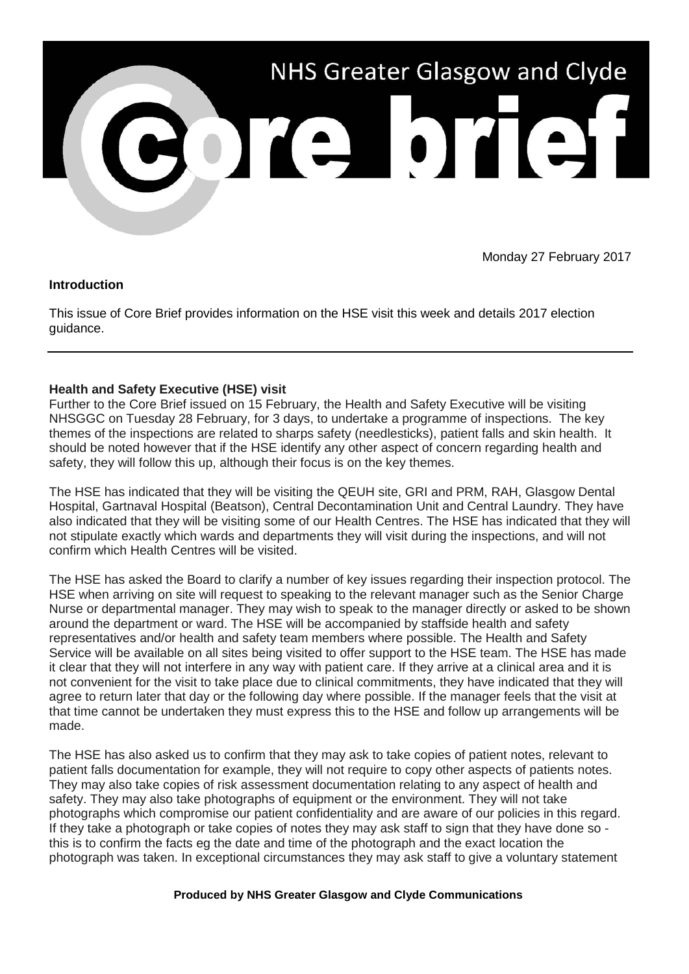

Monday 27 February 2017

# **Introduction**

This issue of Core Brief provides information on the HSE visit this week and details 2017 election guidance.

# **Health and Safety Executive (HSE) visit**

Further to the Core Brief issued on 15 February, the Health and Safety Executive will be visiting NHSGGC on Tuesday 28 February, for 3 days, to undertake a programme of inspections. The key themes of the inspections are related to sharps safety (needlesticks), patient falls and skin health. It should be noted however that if the HSE identify any other aspect of concern regarding health and safety, they will follow this up, although their focus is on the key themes.

The HSE has indicated that they will be visiting the QEUH site, GRI and PRM, RAH, Glasgow Dental Hospital, Gartnaval Hospital (Beatson), Central Decontamination Unit and Central Laundry. They have also indicated that they will be visiting some of our Health Centres. The HSE has indicated that they will not stipulate exactly which wards and departments they will visit during the inspections, and will not confirm which Health Centres will be visited.

The HSE has asked the Board to clarify a number of key issues regarding their inspection protocol. The HSE when arriving on site will request to speaking to the relevant manager such as the Senior Charge Nurse or departmental manager. They may wish to speak to the manager directly or asked to be shown around the department or ward. The HSE will be accompanied by staffside health and safety representatives and/or health and safety team members where possible. The Health and Safety Service will be available on all sites being visited to offer support to the HSE team. The HSE has made it clear that they will not interfere in any way with patient care. If they arrive at a clinical area and it is not convenient for the visit to take place due to clinical commitments, they have indicated that they will agree to return later that day or the following day where possible. If the manager feels that the visit at that time cannot be undertaken they must express this to the HSE and follow up arrangements will be made.

The HSE has also asked us to confirm that they may ask to take copies of patient notes, relevant to patient falls documentation for example, they will not require to copy other aspects of patients notes. They may also take copies of risk assessment documentation relating to any aspect of health and safety. They may also take photographs of equipment or the environment. They will not take photographs which compromise our patient confidentiality and are aware of our policies in this regard. If they take a photograph or take copies of notes they may ask staff to sign that they have done so this is to confirm the facts eg the date and time of the photograph and the exact location the photograph was taken. In exceptional circumstances they may ask staff to give a voluntary statement

### **Produced by NHS Greater Glasgow and Clyde Communications**